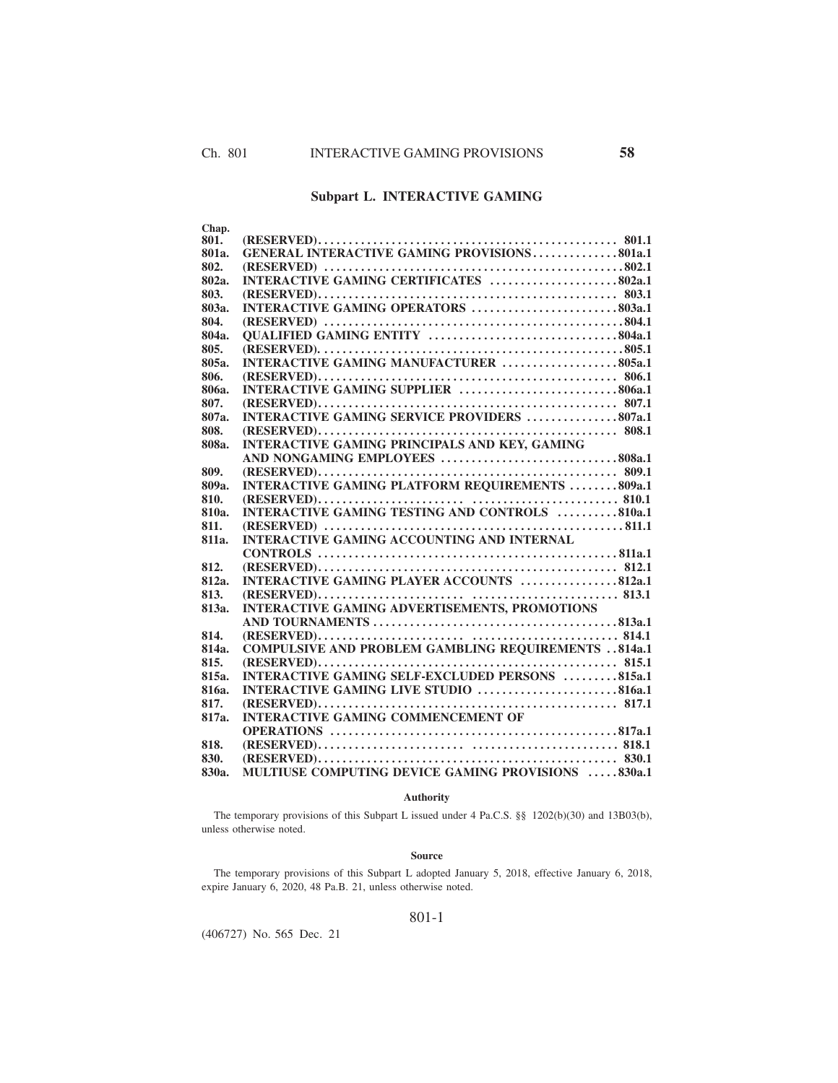# **Subpart L. INTERACTIVE GAMING**

| Chap. |                                                            |
|-------|------------------------------------------------------------|
| 801.  |                                                            |
| 801a. | <b>GENERAL INTERACTIVE GAMING PROVISIONS801a.1</b>         |
| 802.  |                                                            |
| 802a. | INTERACTIVE GAMING CERTIFICATES 802a.1                     |
| 803.  |                                                            |
| 803a. | INTERACTIVE GAMING OPERATORS 803a.1                        |
| 804.  |                                                            |
| 804a. |                                                            |
| 805.  |                                                            |
| 805a. | INTERACTIVE GAMING MANUFACTURER 805a.1                     |
| 806.  |                                                            |
| 80ба. | INTERACTIVE GAMING SUPPLIER 806a.1                         |
| 807.  |                                                            |
| 807a. | INTERACTIVE GAMING SERVICE PROVIDERS 807a.1                |
| 808.  |                                                            |
| 808а. | <b>INTERACTIVE GAMING PRINCIPALS AND KEY, GAMING</b>       |
|       |                                                            |
| 809.  |                                                            |
| 809a. | <b>INTERACTIVE GAMING PLATFORM REQUIREMENTS 809a.1</b>     |
| 810.  |                                                            |
| 810a. | <b>INTERACTIVE GAMING TESTING AND CONTROLS 810a.1</b>      |
| 811.  |                                                            |
| 811a. | <b>INTERACTIVE GAMING ACCOUNTING AND INTERNAL</b>          |
|       |                                                            |
| 812.  |                                                            |
| 812a. | INTERACTIVE GAMING PLAYER ACCOUNTS 812a.1                  |
| 813.  |                                                            |
| 813а. | <b>INTERACTIVE GAMING ADVERTISEMENTS, PROMOTIONS</b>       |
|       |                                                            |
| 814.  |                                                            |
| 814a. | <b>COMPULSIVE AND PROBLEM GAMBLING REQUIREMENTS 814a.1</b> |
| 815.  |                                                            |
| 815а. | <b>INTERACTIVE GAMING SELF-EXCLUDED PERSONS 815a.1</b>     |
| 816a. | INTERACTIVE GAMING LIVE STUDIO 816a.1                      |
| 817.  |                                                            |
| 817a. | <b>INTERACTIVE GAMING COMMENCEMENT OF</b>                  |
|       |                                                            |
| 818.  |                                                            |
| 830.  |                                                            |
| 830а. | MULTIUSE COMPUTING DEVICE GAMING PROVISIONS 830a.1         |

## **Authority**

The temporary provisions of this Subpart L issued under 4 Pa.C.S. §§ 1202(b)(30) and 13B03(b), unless otherwise noted.

#### **Source**

The temporary provisions of this Subpart L adopted January 5, 2018, effective January 6, 2018, expire January 6, 2020, 48 Pa.B. 21, unless otherwise noted.

## 801-1

(406727) No. 565 Dec. 21